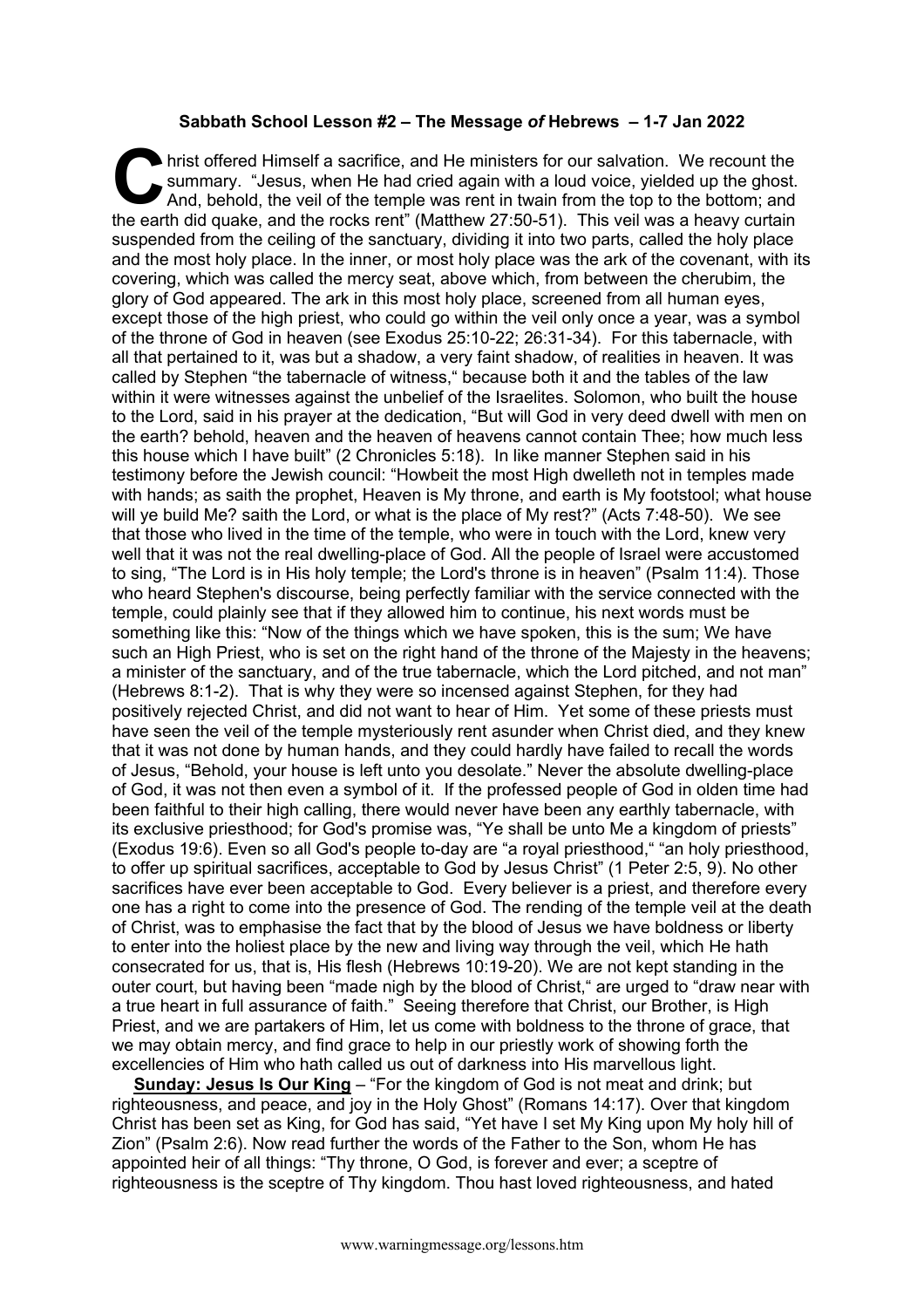## **Sabbath School Lesson #2 – The Message** *of* **Hebrews – 1-7 Jan 2022**

hrist offered Himself a sacrifice, and He ministers for our salvation. We recount the summary. "Jesus, when He had cried again with a loud voice, yielded up the ghost. And, behold, the veil of the temple was rent in twain summary. "Jesus, when He had cried again with a loud voice, yielded up the ghost. And, behold, the veil of the temple was rent in twain from the top to the bottom; and the earth did quake, and the rocks rent" (Matthew 27:50-51). This veil was a heavy curtain suspended from the ceiling of the sanctuary, dividing it into two parts, called the holy place and the most holy place. In the inner, or most holy place was the ark of the covenant, with its covering, which was called the mercy seat, above which, from between the cherubim, the glory of God appeared. The ark in this most holy place, screened from all human eyes, except those of the high priest, who could go within the veil only once a year, was a symbol of the throne of God in heaven (see Exodus 25:10-22; 26:31-34). For this tabernacle, with all that pertained to it, was but a shadow, a very faint shadow, of realities in heaven. It was called by Stephen "the tabernacle of witness," because both it and the tables of the law within it were witnesses against the unbelief of the Israelites. Solomon, who built the house to the Lord, said in his prayer at the dedication, "But will God in very deed dwell with men on the earth? behold, heaven and the heaven of heavens cannot contain Thee; how much less this house which I have built" (2 Chronicles 5:18). In like manner Stephen said in his testimony before the Jewish council: "Howbeit the most High dwelleth not in temples made with hands; as saith the prophet, Heaven is My throne, and earth is My footstool; what house will ye build Me? saith the Lord, or what is the place of My rest?" (Acts 7:48-50). We see that those who lived in the time of the temple, who were in touch with the Lord, knew very well that it was not the real dwelling-place of God. All the people of Israel were accustomed to sing, "The Lord is in His holy temple; the Lord's throne is in heaven" (Psalm 11:4). Those who heard Stephen's discourse, being perfectly familiar with the service connected with the temple, could plainly see that if they allowed him to continue, his next words must be something like this: "Now of the things which we have spoken, this is the sum; We have such an High Priest, who is set on the right hand of the throne of the Majesty in the heavens; a minister of the sanctuary, and of the true tabernacle, which the Lord pitched, and not man" (Hebrews 8:1-2). That is why they were so incensed against Stephen, for they had positively rejected Christ, and did not want to hear of Him. Yet some of these priests must have seen the veil of the temple mysteriously rent asunder when Christ died, and they knew that it was not done by human hands, and they could hardly have failed to recall the words of Jesus, "Behold, your house is left unto you desolate." Never the absolute dwelling-place of God, it was not then even a symbol of it. If the professed people of God in olden time had been faithful to their high calling, there would never have been any earthly tabernacle, with its exclusive priesthood; for God's promise was, "Ye shall be unto Me a kingdom of priests" (Exodus 19:6). Even so all God's people to-day are "a royal priesthood," "an holy priesthood, to offer up spiritual sacrifices, acceptable to God by Jesus Christ" (1 Peter 2:5, 9). No other sacrifices have ever been acceptable to God. Every believer is a priest, and therefore every one has a right to come into the presence of God. The rending of the temple veil at the death of Christ, was to emphasise the fact that by the blood of Jesus we have boldness or liberty to enter into the holiest place by the new and living way through the veil, which He hath consecrated for us, that is, His flesh (Hebrews 10:19-20). We are not kept standing in the outer court, but having been "made nigh by the blood of Christ," are urged to "draw near with a true heart in full assurance of faith." Seeing therefore that Christ, our Brother, is High Priest, and we are partakers of Him, let us come with boldness to the throne of grace, that we may obtain mercy, and find grace to help in our priestly work of showing forth the excellencies of Him who hath called us out of darkness into His marvellous light.

**Sunday: Jesus Is Our King** – "For the kingdom of God is not meat and drink; but righteousness, and peace, and joy in the Holy Ghost" (Romans 14:17). Over that kingdom Christ has been set as King, for God has said, "Yet have I set My King upon My holy hill of Zion" (Psalm 2:6). Now read further the words of the Father to the Son, whom He has appointed heir of all things: "Thy throne, O God, is forever and ever; a sceptre of righteousness is the sceptre of Thy kingdom. Thou hast loved righteousness, and hated